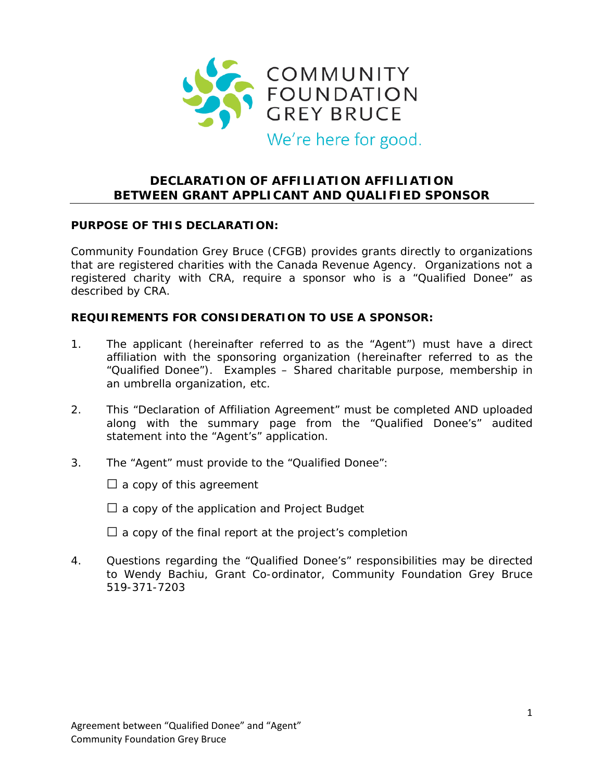

# **DECLARATION OF AFFILIATION AFFILIATION BETWEEN GRANT APPLICANT AND QUALIFIED SPONSOR**

#### **PURPOSE OF THIS DECLARATION:**

Community Foundation Grey Bruce (CFGB) provides grants directly to organizations that are registered charities with the Canada Revenue Agency. Organizations not a registered charity with CRA, require a sponsor who is a "Qualified Donee" as described by CRA.

#### **REQUIREMENTS FOR CONSIDERATION TO USE A SPONSOR:**

- 1. The applicant (hereinafter referred to as the "Agent") must have a direct affiliation with the sponsoring organization (hereinafter referred to as the "Qualified Donee"). Examples – Shared charitable purpose, membership in an umbrella organization, etc.
- 2. This "Declaration of Affiliation Agreement" must be completed AND uploaded along with the summary page from the "Qualified Donee's" audited statement into the "Agent's" application.
- 3. The "Agent" must provide to the "Qualified Donee":

 $\Box$  a copy of this agreement

- $\square$  a copy of the application and Project Budget
- $\Box$  a copy of the final report at the project's completion
- 4. Questions regarding the "Qualified Donee's" responsibilities may be directed to Wendy Bachiu, Grant Co-ordinator, Community Foundation Grey Bruce 519-371-7203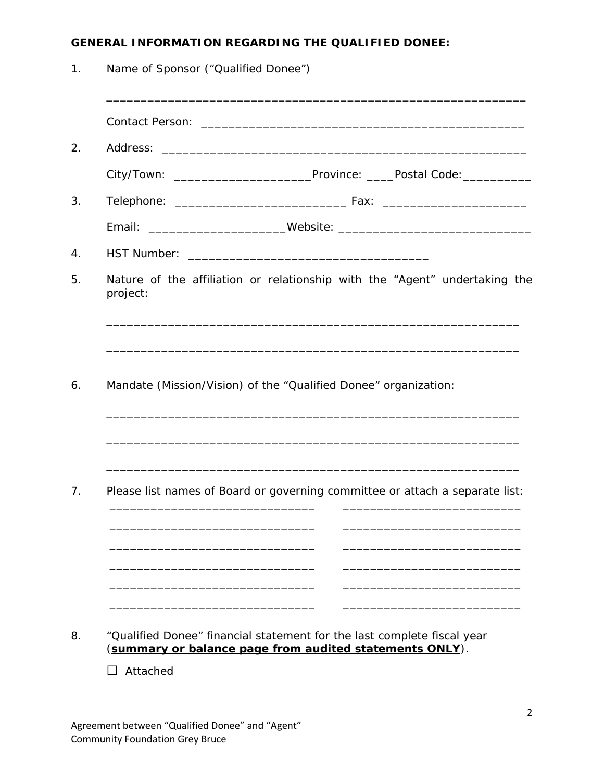## **GENERAL INFORMATION REGARDING THE QUALIFIED DONEE:**

1. Name of Sponsor ("Qualified Donee") \_\_\_\_\_\_\_\_\_\_\_\_\_\_\_\_\_\_\_\_\_\_\_\_\_\_\_\_\_\_\_\_\_\_\_\_\_\_\_\_\_\_\_\_\_\_\_\_\_\_\_\_\_\_\_\_\_\_\_\_\_ Contact Person: \_\_\_\_\_\_\_\_\_\_\_\_\_\_\_\_\_\_\_\_\_\_\_\_\_\_\_\_\_\_\_\_\_\_\_\_\_\_\_\_\_\_\_\_\_\_\_ 2. Address: City/Town: \_\_\_\_\_\_\_\_\_\_\_\_\_\_\_\_\_\_\_\_Province: \_\_\_\_Postal Code:\_\_\_\_\_\_\_\_\_\_ 3. Telephone: \_\_\_\_\_\_\_\_\_\_\_\_\_\_\_\_\_\_\_\_\_\_\_\_\_ Fax: \_\_\_\_\_\_\_\_\_\_\_\_\_\_\_\_\_\_\_\_\_ Email: \_\_\_\_\_\_\_\_\_\_\_\_\_\_\_\_\_\_\_\_Website: \_\_\_\_\_\_\_\_\_\_\_\_\_\_\_\_\_\_\_\_\_\_\_\_\_\_\_\_ 4. HST Number: \_\_\_\_\_\_\_\_\_\_\_\_\_\_\_\_\_\_\_\_\_\_\_\_\_\_\_\_\_\_\_\_\_\_\_ 5. Nature of the affiliation or relationship with the "Agent" undertaking the project: \_\_\_\_\_\_\_\_\_\_\_\_\_\_\_\_\_\_\_\_\_\_\_\_\_\_\_\_\_\_\_\_\_\_\_\_\_\_\_\_\_\_\_\_\_\_\_\_\_\_\_\_\_\_\_\_\_\_\_\_ \_\_\_\_\_\_\_\_\_\_\_\_\_\_\_\_\_\_\_\_\_\_\_\_\_\_\_\_\_\_\_\_\_\_\_\_\_\_\_\_\_\_\_\_\_\_\_\_\_\_\_\_\_\_\_\_\_\_\_\_ 6. Mandate (Mission/Vision) of the "Qualified Donee" organization: \_\_\_\_\_\_\_\_\_\_\_\_\_\_\_\_\_\_\_\_\_\_\_\_\_\_\_\_\_\_\_\_\_\_\_\_\_\_\_\_\_\_\_\_\_\_\_\_\_\_\_\_\_\_\_\_\_\_\_\_ \_\_\_\_\_\_\_\_\_\_\_\_\_\_\_\_\_\_\_\_\_\_\_\_\_\_\_\_\_\_\_\_\_\_\_\_\_\_\_\_\_\_\_\_\_\_\_\_\_\_\_\_\_\_\_\_\_\_\_\_ \_\_\_\_\_\_\_\_\_\_\_\_\_\_\_\_\_\_\_\_\_\_\_\_\_\_\_\_\_\_\_\_\_\_\_\_\_\_\_\_\_\_\_\_\_\_\_\_\_\_\_\_\_\_\_\_\_\_\_\_ 7. Please list names of Board or governing committee or attach a separate list: \_\_\_\_\_\_\_\_\_\_\_\_\_\_\_\_\_\_\_\_\_\_\_\_\_\_\_\_\_\_ \_\_\_\_\_\_\_\_\_\_\_\_\_\_\_\_\_\_\_\_\_\_\_\_\_\_ \_\_\_\_\_\_\_\_\_\_\_\_\_\_\_\_\_\_\_\_\_\_\_\_\_\_\_\_\_\_ \_\_\_\_\_\_\_\_\_\_\_\_\_\_\_\_\_\_\_\_\_\_\_\_\_\_ \_\_\_\_\_\_\_\_\_\_\_\_\_\_\_\_\_\_\_\_\_\_\_\_\_\_\_\_\_\_ \_\_\_\_\_\_\_\_\_\_\_\_\_\_\_\_\_\_\_\_\_\_\_\_\_\_ \_\_\_\_\_\_\_\_\_\_\_\_\_\_\_\_\_\_\_\_\_\_\_\_\_\_\_\_\_\_ \_\_\_\_\_\_\_\_\_\_\_\_\_\_\_\_\_\_\_\_\_\_\_\_\_\_ \_\_\_\_\_\_\_\_\_\_\_\_\_\_\_\_\_\_\_\_\_\_\_\_\_\_\_\_\_\_ \_\_\_\_\_\_\_\_\_\_\_\_\_\_\_\_\_\_\_\_\_\_\_\_\_\_ 8. "Qualified Donee" financial statement for the last complete fiscal year (**summary or balance page from audited statements ONLY**).

□ Attached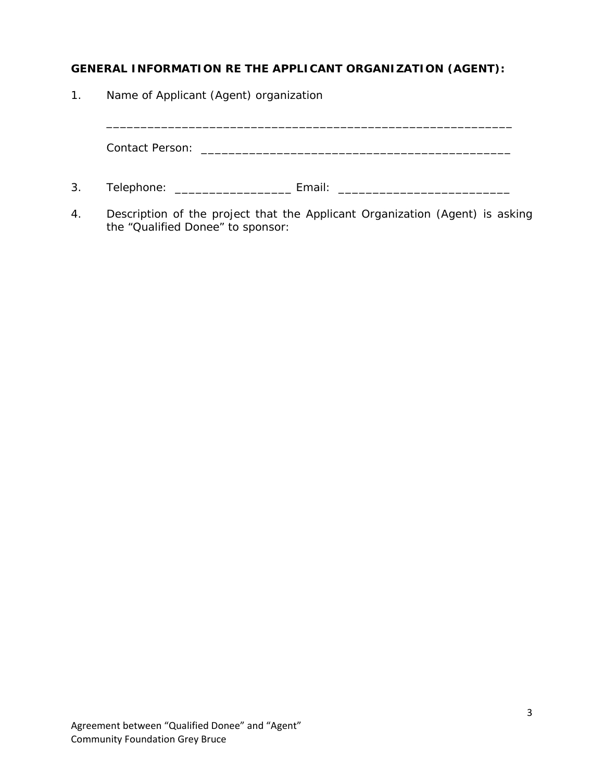## **GENERAL INFORMATION RE THE APPLICANT ORGANIZATION (AGENT):**

1. Name of Applicant (Agent) organization

Contact Person: \_\_\_\_\_\_\_\_\_\_\_\_\_\_\_\_\_\_\_\_\_\_\_\_\_\_\_\_\_\_\_\_\_\_\_\_\_\_\_\_\_\_\_\_\_

\_\_\_\_\_\_\_\_\_\_\_\_\_\_\_\_\_\_\_\_\_\_\_\_\_\_\_\_\_\_\_\_\_\_\_\_\_\_\_\_\_\_\_\_\_\_\_\_\_\_\_\_\_\_\_\_\_\_\_

- 3. Telephone: \_\_\_\_\_\_\_\_\_\_\_\_\_\_\_\_\_\_\_\_\_\_\_\_\_ Email: \_\_\_\_\_\_\_\_\_\_\_\_\_\_\_\_\_\_\_\_\_\_\_\_\_\_\_\_\_\_\_\_\_
- 4. Description of the project that the Applicant Organization (Agent) is asking the "Qualified Donee" to sponsor: